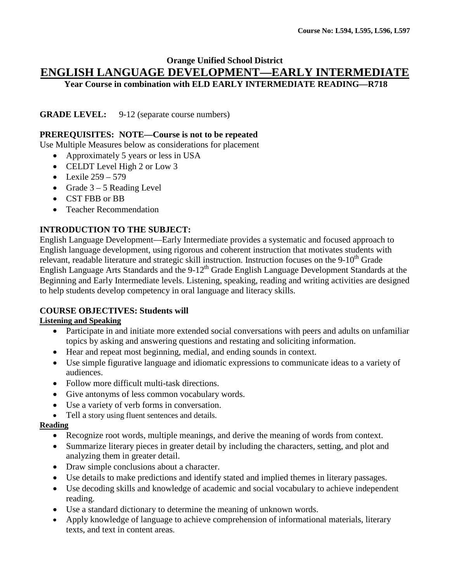### **Orange Unified School District ENGLISH LANGUAGE DEVELOPMENT—EARLY INTERMEDIATE Year Course in combination with ELD EARLY INTERMEDIATE READING—R718**

**GRADE LEVEL:** 9-12 (separate course numbers)

#### **PREREQUISITES: NOTE—Course is not to be repeated**

Use Multiple Measures below as considerations for placement

- Approximately 5 years or less in USA
- CELDT Level High 2 or Low 3
- Lexile  $259 579$
- Grade  $3 5$  Reading Level
- CST FBB or BB
- Teacher Recommendation

#### **INTRODUCTION TO THE SUBJECT:**

English Language Development—Early Intermediate provides a systematic and focused approach to English language development, using rigorous and coherent instruction that motivates students with relevant, readable literature and strategic skill instruction. Instruction focuses on the 9-10<sup>th</sup> Grade English Language Arts Standards and the 9-12<sup>th</sup> Grade English Language Development Standards at the Beginning and Early Intermediate levels. Listening, speaking, reading and writing activities are designed to help students develop competency in oral language and literacy skills.

### **COURSE OBJECTIVES: Students will**

#### **Listening and Speaking**

- Participate in and initiate more extended social conversations with peers and adults on unfamiliar topics by asking and answering questions and restating and soliciting information.
- Hear and repeat most beginning, medial, and ending sounds in context.
- Use simple figurative language and idiomatic expressions to communicate ideas to a variety of audiences.
- Follow more difficult multi-task directions.
- Give antonyms of less common vocabulary words.
- Use a variety of verb forms in conversation.
- Tell a story using fluent sentences and details.

#### **Reading**

- Recognize root words, multiple meanings, and derive the meaning of words from context.
- Summarize literary pieces in greater detail by including the characters, setting, and plot and analyzing them in greater detail.
- Draw simple conclusions about a character.
- Use details to make predictions and identify stated and implied themes in literary passages.
- Use decoding skills and knowledge of academic and social vocabulary to achieve independent reading.
- Use a standard dictionary to determine the meaning of unknown words.
- Apply knowledge of language to achieve comprehension of informational materials, literary texts, and text in content areas.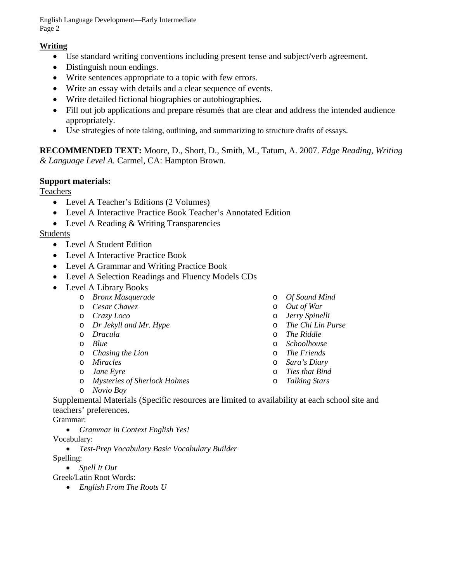English Language Development—Early Intermediate Page 2

### **Writing**

- Use standard writing conventions including present tense and subject/verb agreement.
- Distinguish noun endings.
- Write sentences appropriate to a topic with few errors.
- Write an essay with details and a clear sequence of events.
- Write detailed fictional biographies or autobiographies.
- Fill out job applications and prepare résumés that are clear and address the intended audience appropriately.
- Use strategies of note taking, outlining, and summarizing to structure drafts of essays.

**RECOMMENDED TEXT:** Moore, D., Short, D., Smith, M., Tatum, A. 2007. *Edge Reading, Writing & Language Level A.* Carmel, CA: Hampton Brown.

### **Support materials:**

Teachers

- Level A Teacher's Editions (2 Volumes)
- Level A Interactive Practice Book Teacher's Annotated Edition
- Level A Reading & Writing Transparencies

### Students

- Level A Student Edition
- Level A Interactive Practice Book
- Level A Grammar and Writing Practice Book
- Level A Selection Readings and Fluency Models CDs
- Level A Library Books
	- o *Bronx Masquerade*
	- o *Cesar Chavez*
	- o *Crazy Loco*
	- o *Dr Jekyll and Mr. Hype*
	- o *Dracula*
	- o *Blue*
	- o *Chasing the Lion*
	- o *Miracles*
	- o *Jane Eyre*
	- o *Mysteries of Sherlock Holmes*
- o *Of Sound Mind* o *Out of War*
- o *Jerry Spinelli*
- o *The Chi Lin Purse*
- o *The Riddle*
- o *Schoolhouse*
- o *The Friends*
- o *Sara's Diary*
- o *Ties that Bind*
- o *Talking Stars*

o *Novio Boy*

Supplemental Materials (Specific resources are limited to availability at each school site and teachers' preferences.

Grammar:

• *Grammar in Context English Yes!*

Vocabulary:

• *Test-Prep Vocabulary Basic Vocabulary Builder*

Spelling:

• *Spell It Out*

Greek/Latin Root Words:

• *English From The Roots U*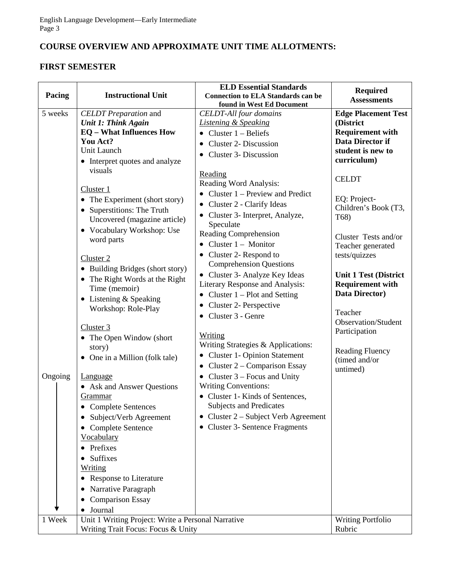# **COURSE OVERVIEW AND APPROXIMATE UNIT TIME ALLOTMENTS:**

### **FIRST SEMESTER**

| Pacing             | <b>Instructional Unit</b>                                                                                                                                                                                                                                                                                                                                                                                                                                                                                                                                                                                                                                                                                                                                                                                                                     | <b>ELD Essential Standards</b><br><b>Connection to ELA Standards can be</b>                                                                                                                                                                                                                                                                                                                                                                                                                                                                                                                                                                                                                                                                                                                                                                                                                                                                                                                   | <b>Required</b>                                                                                                                                                                                                                                                                                                                                                                                                                                                       |
|--------------------|-----------------------------------------------------------------------------------------------------------------------------------------------------------------------------------------------------------------------------------------------------------------------------------------------------------------------------------------------------------------------------------------------------------------------------------------------------------------------------------------------------------------------------------------------------------------------------------------------------------------------------------------------------------------------------------------------------------------------------------------------------------------------------------------------------------------------------------------------|-----------------------------------------------------------------------------------------------------------------------------------------------------------------------------------------------------------------------------------------------------------------------------------------------------------------------------------------------------------------------------------------------------------------------------------------------------------------------------------------------------------------------------------------------------------------------------------------------------------------------------------------------------------------------------------------------------------------------------------------------------------------------------------------------------------------------------------------------------------------------------------------------------------------------------------------------------------------------------------------------|-----------------------------------------------------------------------------------------------------------------------------------------------------------------------------------------------------------------------------------------------------------------------------------------------------------------------------------------------------------------------------------------------------------------------------------------------------------------------|
|                    |                                                                                                                                                                                                                                                                                                                                                                                                                                                                                                                                                                                                                                                                                                                                                                                                                                               | found in West Ed Document                                                                                                                                                                                                                                                                                                                                                                                                                                                                                                                                                                                                                                                                                                                                                                                                                                                                                                                                                                     |                                                                                                                                                                                                                                                                                                                                                                                                                                                                       |
| 5 weeks<br>Ongoing | <b>CELDT</b> Preparation and<br><b>Unit 1: Think Again</b><br><b>EQ</b> – What Influences How<br>You Act?<br>Unit Launch<br>• Interpret quotes and analyze<br>visuals<br>Cluster 1<br>• The Experiment (short story)<br>• Superstitions: The Truth<br>Uncovered (magazine article)<br>• Vocabulary Workshop: Use<br>word parts<br>Cluster <sub>2</sub><br>• Building Bridges (short story)<br>• The Right Words at the Right<br>Time (memoir)<br>$\bullet$ Listening & Speaking<br>Workshop: Role-Play<br>Cluster 3<br>• The Open Window (short<br>story)<br>• One in a Million (folk tale)<br><b>Language</b><br>• Ask and Answer Questions<br><u>Grammar</u><br>• Complete Sentences<br>Subject/Verb Agreement<br>$\bullet$<br>Complete Sentence<br><b>Vocabulary</b><br>Prefixes<br>Suffixes<br><b>Writing</b><br>• Response to Literature | <b>CELDT-All four domains</b><br><b>Listening &amp; Speaking</b><br>Cluster $1 -$ Beliefs<br><b>Cluster 2- Discussion</b><br>$\bullet$<br>Cluster 3- Discussion<br>Reading<br>Reading Word Analysis:<br>• Cluster $1$ – Preview and Predict<br>Cluster 2 - Clarify Ideas<br>$\bullet$<br>• Cluster 3- Interpret, Analyze,<br>Speculate<br>Reading Comprehension<br>Cluster $1 -$ Monitor<br>Cluster 2- Respond to<br>$\bullet$<br><b>Comprehension Questions</b><br>• Cluster 3- Analyze Key Ideas<br>Literary Response and Analysis:<br>$\bullet$ Cluster 1 – Plot and Setting<br>Cluster 2- Perspective<br>Cluster 3 - Genre<br>$\bullet$<br><b>Writing</b><br>Writing Strategies & Applications:<br><b>Cluster 1- Opinion Statement</b><br>Cluster 2 – Comparison Essay<br>Cluster $3$ – Focus and Unity<br><b>Writing Conventions:</b><br>• Cluster 1- Kinds of Sentences,<br><b>Subjects and Predicates</b><br>• Cluster $2 -$ Subject Verb Agreement<br>• Cluster 3- Sentence Fragments | <b>Assessments</b><br><b>Edge Placement Test</b><br>(District<br><b>Requirement with</b><br>Data Director if<br>student is new to<br>curriculum)<br><b>CELDT</b><br>EQ: Project-<br>Children's Book (T3,<br>T68)<br>Cluster Tests and/or<br>Teacher generated<br>tests/quizzes<br><b>Unit 1 Test (District</b><br><b>Requirement with</b><br>Data Director)<br>Teacher<br>Observation/Student<br>Participation<br><b>Reading Fluency</b><br>(timed and/or<br>untimed) |
|                    | Narrative Paragraph<br><b>Comparison Essay</b>                                                                                                                                                                                                                                                                                                                                                                                                                                                                                                                                                                                                                                                                                                                                                                                                |                                                                                                                                                                                                                                                                                                                                                                                                                                                                                                                                                                                                                                                                                                                                                                                                                                                                                                                                                                                               |                                                                                                                                                                                                                                                                                                                                                                                                                                                                       |
|                    | • Journal                                                                                                                                                                                                                                                                                                                                                                                                                                                                                                                                                                                                                                                                                                                                                                                                                                     |                                                                                                                                                                                                                                                                                                                                                                                                                                                                                                                                                                                                                                                                                                                                                                                                                                                                                                                                                                                               |                                                                                                                                                                                                                                                                                                                                                                                                                                                                       |
| 1 Week             | Unit 1 Writing Project: Write a Personal Narrative<br>Writing Trait Focus: Focus & Unity                                                                                                                                                                                                                                                                                                                                                                                                                                                                                                                                                                                                                                                                                                                                                      |                                                                                                                                                                                                                                                                                                                                                                                                                                                                                                                                                                                                                                                                                                                                                                                                                                                                                                                                                                                               | <b>Writing Portfolio</b><br>Rubric                                                                                                                                                                                                                                                                                                                                                                                                                                    |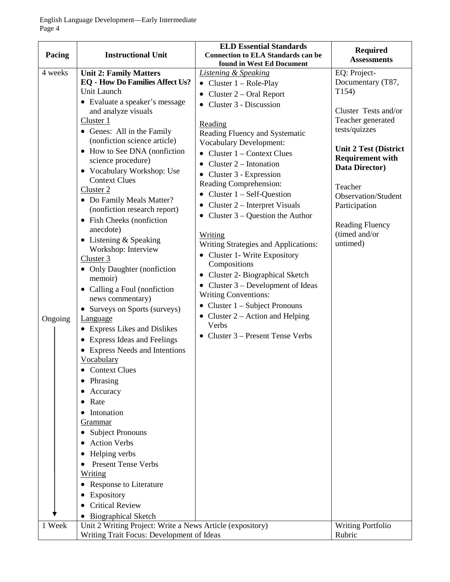| Pacing                                    | <b>Instructional Unit</b>                                 | <b>ELD Essential Standards</b><br><b>Connection to ELA Standards can be</b><br>found in West Ed Document | <b>Required</b><br><b>Assessments</b>     |
|-------------------------------------------|-----------------------------------------------------------|----------------------------------------------------------------------------------------------------------|-------------------------------------------|
| 4 weeks                                   | <b>Unit 2: Family Matters</b>                             | <b>Listening &amp; Speaking</b>                                                                          | EQ: Project-                              |
|                                           | <b>EQ</b> - How Do Families Affect Us?                    | • Cluster $1 - \text{Role-Play}$                                                                         | Documentary (T87,                         |
|                                           | Unit Launch                                               | • Cluster $2$ – Oral Report                                                                              | T154)                                     |
|                                           | • Evaluate a speaker's message                            | • Cluster 3 - Discussion                                                                                 |                                           |
|                                           | and analyze visuals                                       |                                                                                                          | Cluster Tests and/or                      |
|                                           | Cluster 1                                                 | Reading                                                                                                  | Teacher generated                         |
|                                           | • Genes: All in the Family                                | Reading Fluency and Systematic                                                                           | tests/quizzes                             |
|                                           | (nonfiction science article)                              | <b>Vocabulary Development:</b>                                                                           |                                           |
|                                           | • How to See DNA (nonfiction                              | • Cluster $1$ – Context Clues                                                                            | <b>Unit 2 Test (District</b>              |
|                                           | science procedure)                                        | Cluster $2$ – Intonation                                                                                 | <b>Requirement with</b><br>Data Director) |
|                                           | • Vocabulary Workshop: Use                                | $\bullet$ Cluster 3 - Expression                                                                         |                                           |
|                                           | <b>Context Clues</b>                                      | Reading Comprehension:                                                                                   | Teacher                                   |
|                                           | Cluster 2                                                 | Cluster $1 - Self-Question$                                                                              | Observation/Student                       |
|                                           | • Do Family Meals Matter?                                 | Cluster 2 – Interpret Visuals<br>$\bullet$                                                               | Participation                             |
|                                           | (nonfiction research report)                              | • Cluster $3 -$ Question the Author                                                                      |                                           |
|                                           | • Fish Cheeks (nonfiction<br>anecdote)                    |                                                                                                          | <b>Reading Fluency</b>                    |
|                                           | $\bullet$ Listening & Speaking                            | Writing                                                                                                  | (timed and/or                             |
|                                           | Workshop: Interview                                       | Writing Strategies and Applications:                                                                     | untimed)                                  |
|                                           | Cluster 3                                                 | • Cluster 1- Write Expository                                                                            |                                           |
|                                           | • Only Daughter (nonfiction                               | Compositions                                                                                             |                                           |
|                                           | memoir)                                                   | Cluster 2- Biographical Sketch<br>$\bullet$                                                              |                                           |
|                                           | • Calling a Foul (nonfiction                              | • Cluster $3$ – Development of Ideas                                                                     |                                           |
|                                           | news commentary)                                          | <b>Writing Conventions:</b>                                                                              |                                           |
|                                           | • Surveys on Sports (surveys)                             | • Cluster $1 -$ Subject Pronouns                                                                         |                                           |
| Ongoing                                   | <b>Language</b>                                           | • Cluster $2 -$ Action and Helping                                                                       |                                           |
|                                           | • Express Likes and Dislikes                              | Verbs                                                                                                    |                                           |
|                                           | • Express Ideas and Feelings                              | • Cluster $3$ – Present Tense Verbs                                                                      |                                           |
|                                           | • Express Needs and Intentions                            |                                                                                                          |                                           |
|                                           | Vocabulary                                                |                                                                                                          |                                           |
|                                           | <b>Context Clues</b>                                      |                                                                                                          |                                           |
|                                           | Phrasing                                                  |                                                                                                          |                                           |
|                                           | Accuracy<br>●                                             |                                                                                                          |                                           |
|                                           | Rate<br>٠                                                 |                                                                                                          |                                           |
|                                           | Intonation<br>$\bullet$                                   |                                                                                                          |                                           |
|                                           | <u>Grammar</u>                                            |                                                                                                          |                                           |
|                                           | <b>Subject Pronouns</b><br>$\bullet$                      |                                                                                                          |                                           |
|                                           | <b>Action Verbs</b>                                       |                                                                                                          |                                           |
|                                           | Helping verbs                                             |                                                                                                          |                                           |
|                                           | <b>Present Tense Verbs</b>                                |                                                                                                          |                                           |
|                                           | Writing                                                   |                                                                                                          |                                           |
|                                           | • Response to Literature                                  |                                                                                                          |                                           |
|                                           | Expository                                                |                                                                                                          |                                           |
|                                           | <b>Critical Review</b>                                    |                                                                                                          |                                           |
|                                           | <b>Biographical Sketch</b><br>$\bullet$                   |                                                                                                          |                                           |
| 1 Week                                    | Unit 2 Writing Project: Write a News Article (expository) |                                                                                                          | <b>Writing Portfolio</b>                  |
| Writing Trait Focus: Development of Ideas |                                                           | Rubric                                                                                                   |                                           |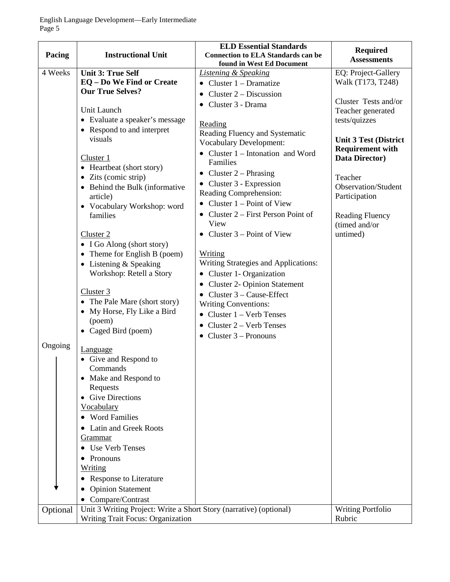| Pacing   | <b>Instructional Unit</b>                                          | <b>ELD Essential Standards</b><br><b>Connection to ELA Standards can be</b> | <b>Required</b><br><b>Assessments</b>     |
|----------|--------------------------------------------------------------------|-----------------------------------------------------------------------------|-------------------------------------------|
|          |                                                                    | found in West Ed Document                                                   |                                           |
| 4 Weeks  | <b>Unit 3: True Self</b>                                           | <b>Listening &amp; Speaking</b>                                             | EQ: Project-Gallery                       |
|          | EQ - Do We Find or Create                                          | Cluster $1 - Dramatize$                                                     | Walk (T173, T248)                         |
|          | <b>Our True Selves?</b>                                            | Cluster $2 -$ Discussion<br>٠                                               |                                           |
|          | Unit Launch                                                        | Cluster 3 - Drama                                                           | Cluster Tests and/or<br>Teacher generated |
|          | • Evaluate a speaker's message                                     |                                                                             | tests/quizzes                             |
|          | • Respond to and interpret                                         | Reading                                                                     |                                           |
|          | visuals                                                            | Reading Fluency and Systematic                                              | <b>Unit 3 Test (District</b>              |
|          |                                                                    | <b>Vocabulary Development:</b>                                              | <b>Requirement with</b>                   |
|          | Cluster 1                                                          | • Cluster $1$ – Intonation and Word<br>Families                             | Data Director)                            |
|          | • Heartbeat (short story)                                          |                                                                             |                                           |
|          | • Zits (comic strip)                                               | • Cluster $2$ – Phrasing                                                    | Teacher                                   |
|          | • Behind the Bulk (informative                                     | • Cluster $3$ - Expression<br>Reading Comprehension:                        | Observation/Student                       |
|          | article)                                                           | • Cluster $1 - Point$ of View                                               | Participation                             |
|          | • Vocabulary Workshop: word                                        |                                                                             |                                           |
|          | families                                                           | • Cluster $2$ – First Person Point of<br>View                               | <b>Reading Fluency</b>                    |
|          | Cluster 2                                                          | Cluster $3$ – Point of View                                                 | (timed and/or<br>untimed)                 |
|          | • I Go Along (short story)                                         |                                                                             |                                           |
|          | • Theme for English B (poem)                                       | Writing                                                                     |                                           |
|          | $\bullet$ Listening & Speaking                                     | <b>Writing Strategies and Applications:</b>                                 |                                           |
|          | Workshop: Retell a Story                                           | • Cluster 1- Organization                                                   |                                           |
|          |                                                                    | • Cluster 2- Opinion Statement                                              |                                           |
|          | Cluster 3                                                          | Cluster 3 – Cause-Effect                                                    |                                           |
|          | • The Pale Mare (short story)                                      | <b>Writing Conventions:</b>                                                 |                                           |
|          | • My Horse, Fly Like a Bird                                        | $\bullet$ Cluster 1 – Verb Tenses                                           |                                           |
|          | (poem)                                                             | Cluster 2 – Verb Tenses                                                     |                                           |
|          | • Caged Bird (poem)                                                | • Cluster $3$ – Pronouns                                                    |                                           |
| Ongoing  |                                                                    |                                                                             |                                           |
|          | <b>Language</b>                                                    |                                                                             |                                           |
|          | • Give and Respond to<br>Commands                                  |                                                                             |                                           |
|          | • Make and Respond to                                              |                                                                             |                                           |
|          | Requests                                                           |                                                                             |                                           |
|          | • Give Directions                                                  |                                                                             |                                           |
|          | Vocabulary                                                         |                                                                             |                                           |
|          | • Word Families                                                    |                                                                             |                                           |
|          | • Latin and Greek Roots                                            |                                                                             |                                           |
|          | Grammar                                                            |                                                                             |                                           |
|          | • Use Verb Tenses                                                  |                                                                             |                                           |
|          | Pronouns                                                           |                                                                             |                                           |
|          | <u>Writing</u>                                                     |                                                                             |                                           |
|          | • Response to Literature                                           |                                                                             |                                           |
|          | <b>Opinion Statement</b>                                           |                                                                             |                                           |
|          | • Compare/Contrast                                                 |                                                                             |                                           |
| Optional | Unit 3 Writing Project: Write a Short Story (narrative) (optional) |                                                                             | <b>Writing Portfolio</b>                  |
|          | Writing Trait Focus: Organization                                  |                                                                             | Rubric                                    |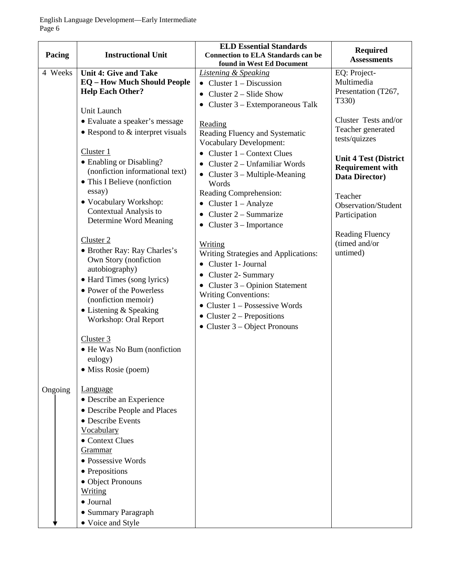| Pacing  | <b>Instructional Unit</b>                                                                                                                                                                                                                                                                                      | <b>ELD Essential Standards</b><br><b>Connection to ELA Standards can be</b><br>found in West Ed Document                                                                                                                                                                              | <b>Required</b><br><b>Assessments</b>                                     |
|---------|----------------------------------------------------------------------------------------------------------------------------------------------------------------------------------------------------------------------------------------------------------------------------------------------------------------|---------------------------------------------------------------------------------------------------------------------------------------------------------------------------------------------------------------------------------------------------------------------------------------|---------------------------------------------------------------------------|
| 4 Weeks | <b>Unit 4: Give and Take</b><br><b>EQ</b> - How Much Should People<br><b>Help Each Other?</b><br>Unit Launch                                                                                                                                                                                                   | <b>Listening &amp; Speaking</b><br>• Cluster $1 -$ Discussion<br>Cluster 2 – Slide Show<br>Cluster 3 – Extemporaneous Talk                                                                                                                                                            | EQ: Project-<br>Multimedia<br>Presentation (T267,<br>T330)                |
|         | • Evaluate a speaker's message<br>• Respond to $&$ interpret visuals                                                                                                                                                                                                                                           | Reading<br>Reading Fluency and Systematic<br><b>Vocabulary Development:</b>                                                                                                                                                                                                           | Cluster Tests and/or<br>Teacher generated<br>tests/quizzes                |
|         | Cluster 1<br>• Enabling or Disabling?<br>(nonfiction informational text)<br>• This I Believe (nonfiction                                                                                                                                                                                                       | Cluster 1 – Context Clues<br>$\bullet$<br>Cluster 2 – Unfamiliar Words<br>• Cluster $3 -$ Multiple-Meaning<br>Words                                                                                                                                                                   | <b>Unit 4 Test (District</b><br><b>Requirement with</b><br>Data Director) |
|         | essay)<br>• Vocabulary Workshop:<br>Contextual Analysis to<br>Determine Word Meaning                                                                                                                                                                                                                           | Reading Comprehension:<br>Cluster $1 -$ Analyze<br>Cluster 2 – Summarize<br>$\bullet$<br>• Cluster $3$ – Importance                                                                                                                                                                   | Teacher<br>Observation/Student<br>Participation                           |
|         | Cluster 2<br>• Brother Ray: Ray Charles's<br>Own Story (nonfiction<br>autobiography)<br>• Hard Times (song lyrics)<br>• Power of the Powerless<br>(nonfiction memoir)<br>$\bullet$ Listening & Speaking<br>Workshop: Oral Report<br>Cluster 3<br>• He Was No Bum (nonfiction<br>eulogy)<br>• Miss Rosie (poem) | Writing<br>Writing Strategies and Applications:<br>Cluster 1- Journal<br>$\bullet$<br>Cluster 2- Summary<br>Cluster 3 – Opinion Statement<br><b>Writing Conventions:</b><br>$\bullet$ Cluster 1 – Possessive Words<br>• Cluster $2$ – Prepositions<br>• Cluster $3 - Object Pronouns$ | <b>Reading Fluency</b><br>(timed and/or<br>untimed)                       |
| Ongoing | <b>Language</b><br>• Describe an Experience<br>• Describe People and Places<br>• Describe Events<br><b>Vocabulary</b><br>• Context Clues<br><u>Grammar</u><br>• Possessive Words<br>• Prepositions<br>• Object Pronouns<br><b>Writing</b><br>• Journal<br>• Summary Paragraph<br>• Voice and Style             |                                                                                                                                                                                                                                                                                       |                                                                           |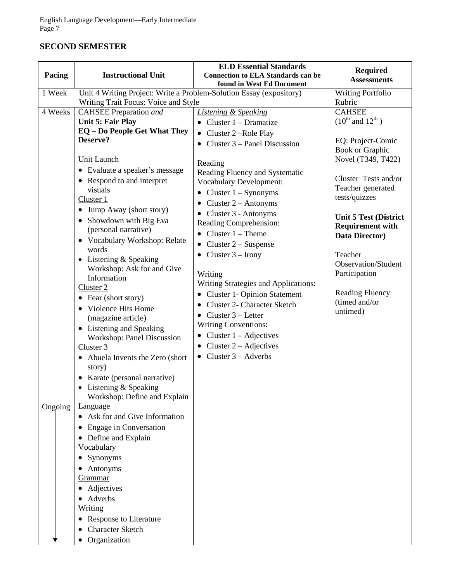## **SECOND SEMESTER**

| Pacing  | <b>Instructional Unit</b>                                           | <b>ELD Essential Standards</b><br><b>Connection to ELA Standards can be</b><br>found in West Ed Document | <b>Required</b><br><b>Assessments</b> |
|---------|---------------------------------------------------------------------|----------------------------------------------------------------------------------------------------------|---------------------------------------|
| 1 Week  | Unit 4 Writing Project: Write a Problem-Solution Essay (expository) |                                                                                                          | <b>Writing Portfolio</b>              |
|         | Writing Trait Focus: Voice and Style                                |                                                                                                          | Rubric                                |
| 4 Weeks | <b>CAHSEE</b> Preparation and                                       | <b>Listening &amp; Speaking</b>                                                                          | <b>CAHSEE</b>                         |
|         | <b>Unit 5: Fair Play</b>                                            | • Cluster $1$ – Dramatize                                                                                | $(10^{th}$ and $12^{th}$ )            |
|         | <b>EQ</b> - Do People Get What They                                 | • Cluster $2$ –Role Play                                                                                 |                                       |
|         | Deserve?                                                            | • Cluster $3$ – Panel Discussion                                                                         | EQ: Project-Comic                     |
|         |                                                                     |                                                                                                          | <b>Book or Graphic</b>                |
|         | Unit Launch                                                         | Reading                                                                                                  | Novel (T349, T422)                    |
|         | • Evaluate a speaker's message                                      | Reading Fluency and Systematic                                                                           |                                       |
|         | • Respond to and interpret                                          | <b>Vocabulary Development:</b>                                                                           | Cluster Tests and/or                  |
|         | visuals                                                             | • Cluster $1 - Symonyms$                                                                                 | Teacher generated<br>tests/quizzes    |
|         | Cluster 1                                                           | • Cluster $2 -$ Antonyms                                                                                 |                                       |
|         | • Jump Away (short story)                                           | $\bullet$ Cluster 3 - Antonyms                                                                           | <b>Unit 5 Test (District</b>          |
|         | • Showdown with Big Eva                                             | Reading Comprehension:                                                                                   | <b>Requirement with</b>               |
|         | (personal narrative)                                                | • Cluster $1$ – Theme                                                                                    | Data Director)                        |
|         | • Vocabulary Workshop: Relate                                       | Cluster $2 -$ Suspense<br>$\bullet$                                                                      |                                       |
|         | words                                                               | Cluster $3 -$ Irony                                                                                      | Teacher                               |
|         | • Listening & Speaking                                              |                                                                                                          | Observation/Student                   |
|         | Workshop: Ask for and Give                                          | Writing                                                                                                  | Participation                         |
|         | Information                                                         | Writing Strategies and Applications:                                                                     |                                       |
|         | Cluster 2                                                           | • Cluster 1- Opinion Statement                                                                           | <b>Reading Fluency</b>                |
|         | • Fear (short story)                                                | • Cluster 2- Character Sketch                                                                            | (timed and/or                         |
|         | • Violence Hits Home                                                | • Cluster $3$ – Letter                                                                                   | untimed)                              |
|         | (magazine article)                                                  | <b>Writing Conventions:</b>                                                                              |                                       |
|         | • Listening and Speaking                                            | • Cluster $1 - \text{Adjectives}$                                                                        |                                       |
|         | Workshop: Panel Discussion                                          | • Cluster $2 - \text{Adjectives}$                                                                        |                                       |
|         | Cluster 3                                                           | • Cluster $3 -$ Adverbs                                                                                  |                                       |
|         | • Abuela Invents the Zero (short)<br>story)                         |                                                                                                          |                                       |
|         | • Karate (personal narrative)                                       |                                                                                                          |                                       |
|         | • Listening $&$ Speaking                                            |                                                                                                          |                                       |
|         | Workshop: Define and Explain                                        |                                                                                                          |                                       |
| Ongoing | <b>Language</b>                                                     |                                                                                                          |                                       |
|         | Ask for and Give Information                                        |                                                                                                          |                                       |
|         | <b>Engage in Conversation</b>                                       |                                                                                                          |                                       |
|         | Define and Explain<br>$\bullet$                                     |                                                                                                          |                                       |
|         | Vocabulary                                                          |                                                                                                          |                                       |
|         | Synonyms                                                            |                                                                                                          |                                       |
|         | Antonyms                                                            |                                                                                                          |                                       |
|         | Grammar                                                             |                                                                                                          |                                       |
|         | Adjectives                                                          |                                                                                                          |                                       |
|         | Adverbs                                                             |                                                                                                          |                                       |
|         | <u>Writing</u>                                                      |                                                                                                          |                                       |
|         | <b>Response to Literature</b>                                       |                                                                                                          |                                       |
|         | <b>Character Sketch</b>                                             |                                                                                                          |                                       |
|         | Organization                                                        |                                                                                                          |                                       |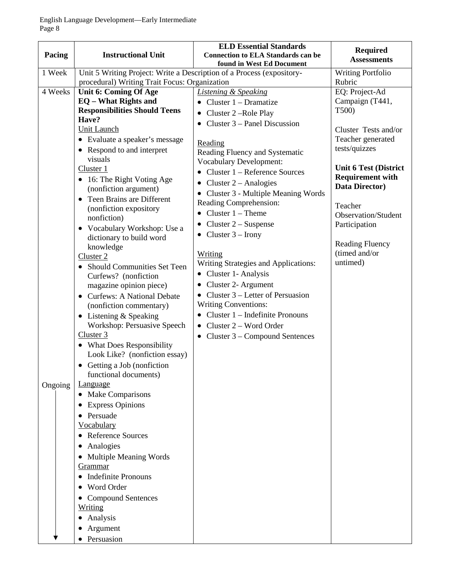| Pacing             | <b>Instructional Unit</b>                                                                                                                                                                                                                                                                                                                                                                                                                                                                                                                                                                                                                                                                                                                                                                                                                                                                                                                                                                                                                                                            | <b>ELD Essential Standards</b><br><b>Connection to ELA Standards can be</b><br>found in West Ed Document                                                                                                                                                                                                                                                                                                                                                                                                                                                                                                                                                                                                                                         | <b>Required</b><br><b>Assessments</b>                                                                                                                                                                                                                                                                     |
|--------------------|--------------------------------------------------------------------------------------------------------------------------------------------------------------------------------------------------------------------------------------------------------------------------------------------------------------------------------------------------------------------------------------------------------------------------------------------------------------------------------------------------------------------------------------------------------------------------------------------------------------------------------------------------------------------------------------------------------------------------------------------------------------------------------------------------------------------------------------------------------------------------------------------------------------------------------------------------------------------------------------------------------------------------------------------------------------------------------------|--------------------------------------------------------------------------------------------------------------------------------------------------------------------------------------------------------------------------------------------------------------------------------------------------------------------------------------------------------------------------------------------------------------------------------------------------------------------------------------------------------------------------------------------------------------------------------------------------------------------------------------------------------------------------------------------------------------------------------------------------|-----------------------------------------------------------------------------------------------------------------------------------------------------------------------------------------------------------------------------------------------------------------------------------------------------------|
| 1 Week             | Unit 5 Writing Project: Write a Description of a Process (expository-                                                                                                                                                                                                                                                                                                                                                                                                                                                                                                                                                                                                                                                                                                                                                                                                                                                                                                                                                                                                                |                                                                                                                                                                                                                                                                                                                                                                                                                                                                                                                                                                                                                                                                                                                                                  | <b>Writing Portfolio</b>                                                                                                                                                                                                                                                                                  |
| 4 Weeks<br>Ongoing | procedural) Writing Trait Focus: Organization<br>Unit 6: Coming Of Age<br><b>EQ</b> – What Rights and<br><b>Responsibilities Should Teens</b><br>Have?<br>Unit Launch<br>• Evaluate a speaker's message<br>• Respond to and interpret<br>visuals<br>Cluster 1<br>• 16: The Right Voting Age<br>(nonfiction argument)<br>Teen Brains are Different<br>$\bullet$<br>(nonfiction expository<br>nonfiction)<br>• Vocabulary Workshop: Use a<br>dictionary to build word<br>knowledge<br>Cluster 2<br><b>Should Communities Set Teen</b><br>Curfews? (nonfiction<br>magazine opinion piece)<br>• Curfews: A National Debate<br>(nonfiction commentary)<br>• Listening & Speaking<br>Workshop: Persuasive Speech<br>Cluster 3<br>• What Does Responsibility<br>Look Like? (nonfiction essay)<br>• Getting a Job (nonfiction<br>functional documents)<br><b>Language</b><br><b>Make Comparisons</b><br>$\bullet$<br><b>Express Opinions</b><br>$\bullet$<br>Persuade<br><b>Vocabulary</b><br><b>Reference Sources</b><br>Analogies<br>Multiple Meaning Words<br>$\bullet$<br><u>Grammar</u> | <b>Listening &amp; Speaking</b><br>• Cluster $1$ – Dramatize<br>• Cluster $2$ –Role Play<br>Cluster 3 – Panel Discussion<br>Reading<br>Reading Fluency and Systematic<br><b>Vocabulary Development:</b><br>Cluster 1 – Reference Sources<br>Cluster $2 -$ Analogies<br>$\bullet$<br>• Cluster 3 - Multiple Meaning Words<br>Reading Comprehension:<br>• Cluster $1 -$ Theme<br>Cluster $2 -$ Suspense<br>$\bullet$<br>• Cluster $3$ – Irony<br>Writing<br><b>Writing Strategies and Applications:</b><br>• Cluster 1- Analysis<br>Cluster 2- Argument<br>$\bullet$<br>• Cluster $3$ – Letter of Persuasion<br><b>Writing Conventions:</b><br>Cluster 1 – Indefinite Pronouns<br>• Cluster $2 - Word Order$<br>• Cluster $3$ – Compound Sentences | Rubric<br>EQ: Project-Ad<br>Campaign (T441,<br>T500)<br>Cluster Tests and/or<br>Teacher generated<br>tests/quizzes<br><b>Unit 6 Test (District</b><br><b>Requirement with</b><br>Data Director)<br>Teacher<br>Observation/Student<br>Participation<br><b>Reading Fluency</b><br>(timed and/or<br>untimed) |
|                    | <b>Indefinite Pronouns</b><br>٠<br>Word Order                                                                                                                                                                                                                                                                                                                                                                                                                                                                                                                                                                                                                                                                                                                                                                                                                                                                                                                                                                                                                                        |                                                                                                                                                                                                                                                                                                                                                                                                                                                                                                                                                                                                                                                                                                                                                  |                                                                                                                                                                                                                                                                                                           |
|                    | <b>Compound Sentences</b><br><b>Writing</b><br>Analysis<br>Argument                                                                                                                                                                                                                                                                                                                                                                                                                                                                                                                                                                                                                                                                                                                                                                                                                                                                                                                                                                                                                  |                                                                                                                                                                                                                                                                                                                                                                                                                                                                                                                                                                                                                                                                                                                                                  |                                                                                                                                                                                                                                                                                                           |
|                    | Persuasion                                                                                                                                                                                                                                                                                                                                                                                                                                                                                                                                                                                                                                                                                                                                                                                                                                                                                                                                                                                                                                                                           |                                                                                                                                                                                                                                                                                                                                                                                                                                                                                                                                                                                                                                                                                                                                                  |                                                                                                                                                                                                                                                                                                           |